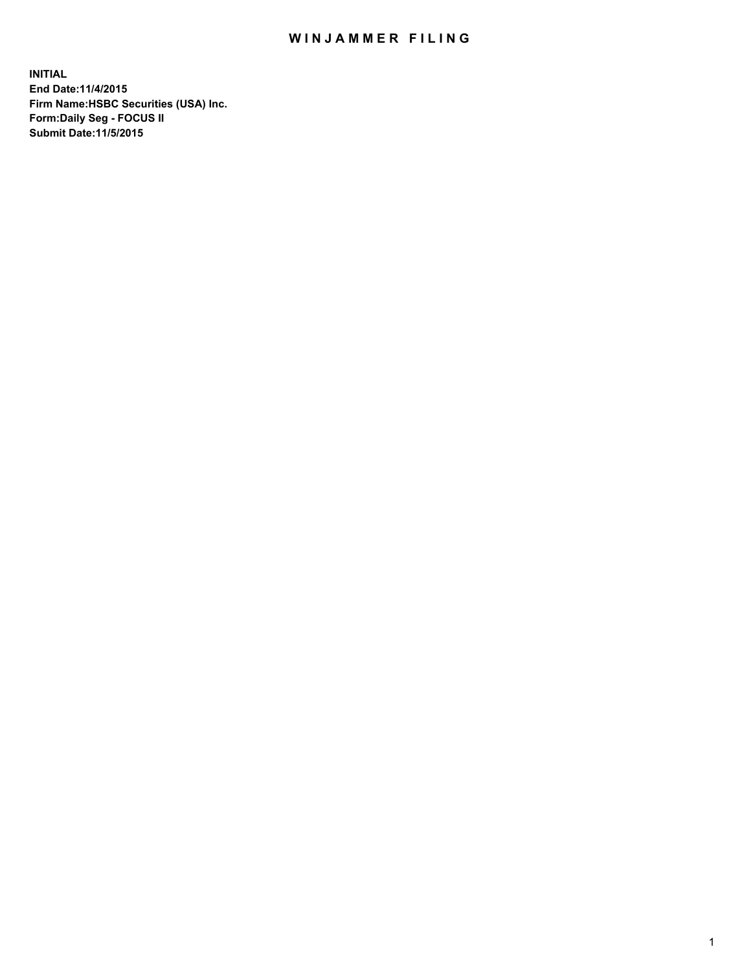## WIN JAMMER FILING

**INITIAL End Date:11/4/2015 Firm Name:HSBC Securities (USA) Inc. Form:Daily Seg - FOCUS II Submit Date:11/5/2015**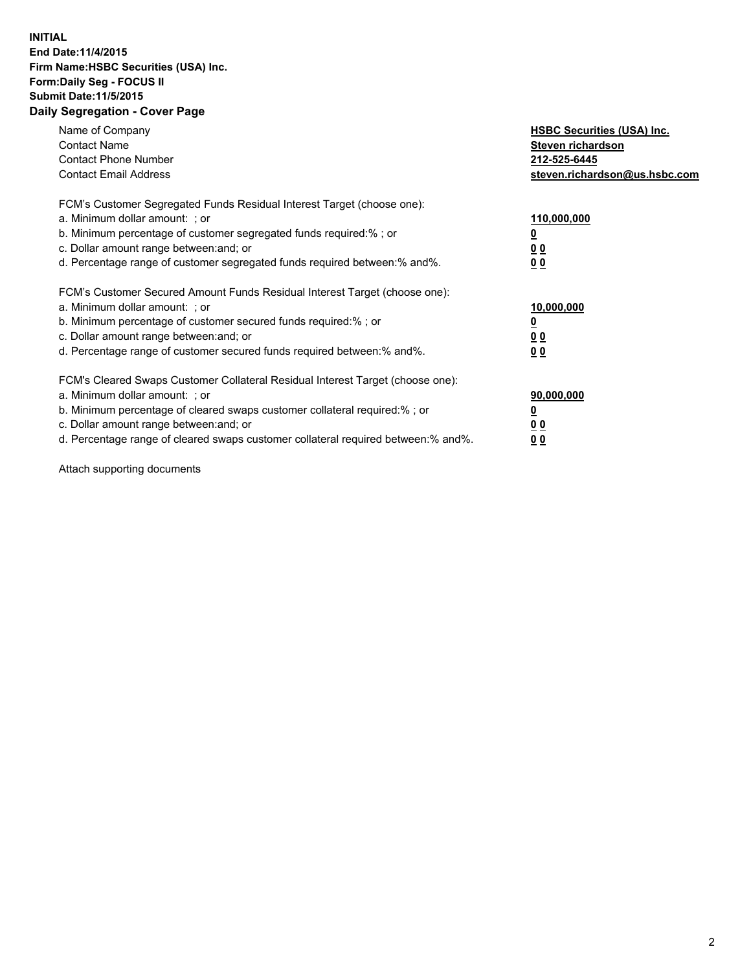## **INITIAL End Date:11/4/2015 Firm Name:HSBC Securities (USA) Inc. Form:Daily Seg - FOCUS II Submit Date:11/5/2015 Daily Segregation - Cover Page**

| Name of Company<br><b>Contact Name</b><br><b>Contact Phone Number</b><br><b>Contact Email Address</b>                                                                                                                                                                                                                         | <b>HSBC Securities (USA) Inc.</b><br>Steven richardson<br>212-525-6445<br>steven.richardson@us.hsbc.com |
|-------------------------------------------------------------------------------------------------------------------------------------------------------------------------------------------------------------------------------------------------------------------------------------------------------------------------------|---------------------------------------------------------------------------------------------------------|
| FCM's Customer Segregated Funds Residual Interest Target (choose one):<br>a. Minimum dollar amount: ; or<br>b. Minimum percentage of customer segregated funds required:%; or<br>c. Dollar amount range between: and; or<br>d. Percentage range of customer segregated funds required between: % and %.                       | 110,000,000<br><u>0</u><br>0 <sub>0</sub><br>0 <sub>0</sub>                                             |
| FCM's Customer Secured Amount Funds Residual Interest Target (choose one):<br>a. Minimum dollar amount: ; or<br>b. Minimum percentage of customer secured funds required:%; or<br>c. Dollar amount range between: and; or<br>d. Percentage range of customer secured funds required between: % and %.                         | 10,000,000<br>0 <sub>0</sub><br>0 <sub>0</sub>                                                          |
| FCM's Cleared Swaps Customer Collateral Residual Interest Target (choose one):<br>a. Minimum dollar amount: ; or<br>b. Minimum percentage of cleared swaps customer collateral required:%; or<br>c. Dollar amount range between: and; or<br>d. Percentage range of cleared swaps customer collateral required between:% and%. | 90,000,000<br><u>0</u><br>00<br><u>00</u>                                                               |

Attach supporting documents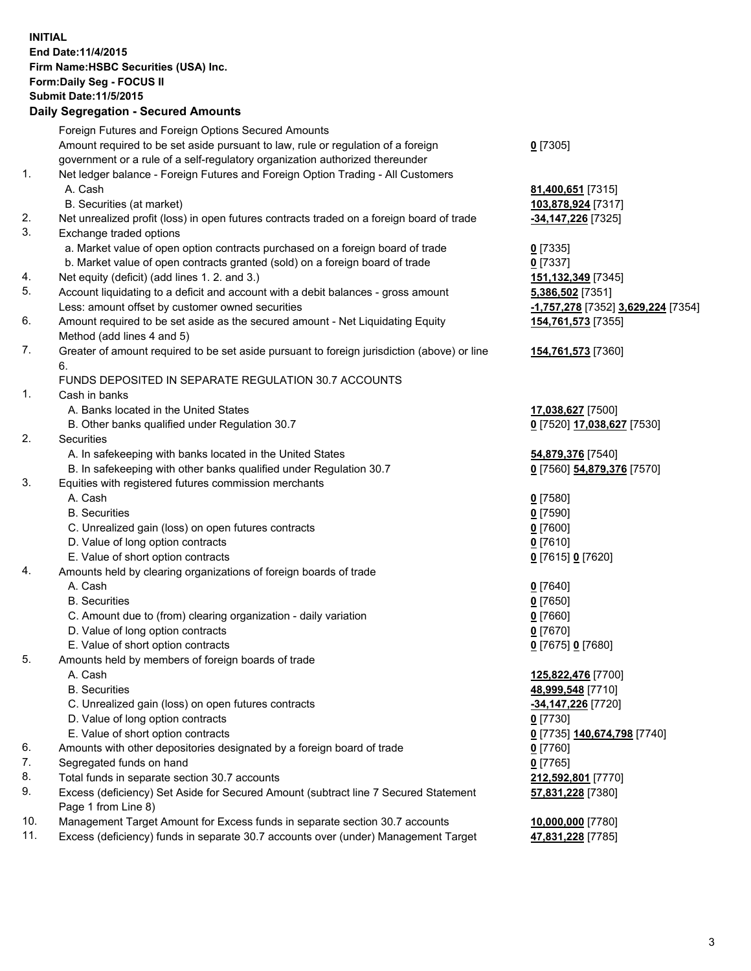**INITIAL End Date:11/4/2015 Firm Name:HSBC Securities (USA) Inc. Form:Daily Seg - FOCUS II Submit Date:11/5/2015 Daily Segregation - Secured Amounts**

Foreign Futures and Foreign Options Secured Amounts Amount required to be set aside pursuant to law, rule or regulation of a foreign government or a rule of a self-regulatory organization authorized thereunder **0** [7305] 1. Net ledger balance - Foreign Futures and Foreign Option Trading - All Customers A. Cash **81,400,651** [7315] B. Securities (at market) **103,878,924** [7317] 2. Net unrealized profit (loss) in open futures contracts traded on a foreign board of trade **-34,147,226** [7325] 3. Exchange traded options a. Market value of open option contracts purchased on a foreign board of trade **0** [7335] b. Market value of open contracts granted (sold) on a foreign board of trade **0** [7337] 4. Net equity (deficit) (add lines 1. 2. and 3.) **151,132,349** [7345] 5. Account liquidating to a deficit and account with a debit balances - gross amount **5,386,502** [7351] Less: amount offset by customer owned securities **-1,757,278** [7352] **3,629,224** [7354] 6. Amount required to be set aside as the secured amount - Net Liquidating Equity Method (add lines 4 and 5) **154,761,573** [7355] 7. Greater of amount required to be set aside pursuant to foreign jurisdiction (above) or line 6. **154,761,573** [7360] FUNDS DEPOSITED IN SEPARATE REGULATION 30.7 ACCOUNTS 1. Cash in banks A. Banks located in the United States **17,038,627** [7500] B. Other banks qualified under Regulation 30.7 **0** [7520] **17,038,627** [7530] 2. Securities A. In safekeeping with banks located in the United States **54,879,376** [7540] B. In safekeeping with other banks qualified under Regulation 30.7 **0** [7560] **54,879,376** [7570] 3. Equities with registered futures commission merchants A. Cash **0** [7580] B. Securities **0** [7590] C. Unrealized gain (loss) on open futures contracts **0** [7600] D. Value of long option contracts **0** [7610] E. Value of short option contracts **0** [7615] **0** [7620] 4. Amounts held by clearing organizations of foreign boards of trade A. Cash **0** [7640] B. Securities **0** [7650] C. Amount due to (from) clearing organization - daily variation **0** [7660] D. Value of long option contracts **0** [7670] E. Value of short option contracts **0** [7675] **0** [7680] 5. Amounts held by members of foreign boards of trade A. Cash **125,822,476** [7700] B. Securities **48,999,548** [7710] C. Unrealized gain (loss) on open futures contracts **-34,147,226** [7720] D. Value of long option contracts **0** [7730] E. Value of short option contracts **0** [7735] **140,674,798** [7740] 6. Amounts with other depositories designated by a foreign board of trade **0** [7760] 7. Segregated funds on hand **0** [7765] 8. Total funds in separate section 30.7 accounts **212,592,801** [7770] 9. Excess (deficiency) Set Aside for Secured Amount (subtract line 7 Secured Statement Page 1 from Line 8) **57,831,228** [7380] 10. Management Target Amount for Excess funds in separate section 30.7 accounts **10,000,000** [7780] 11. Excess (deficiency) funds in separate 30.7 accounts over (under) Management Target **47,831,228** [7785]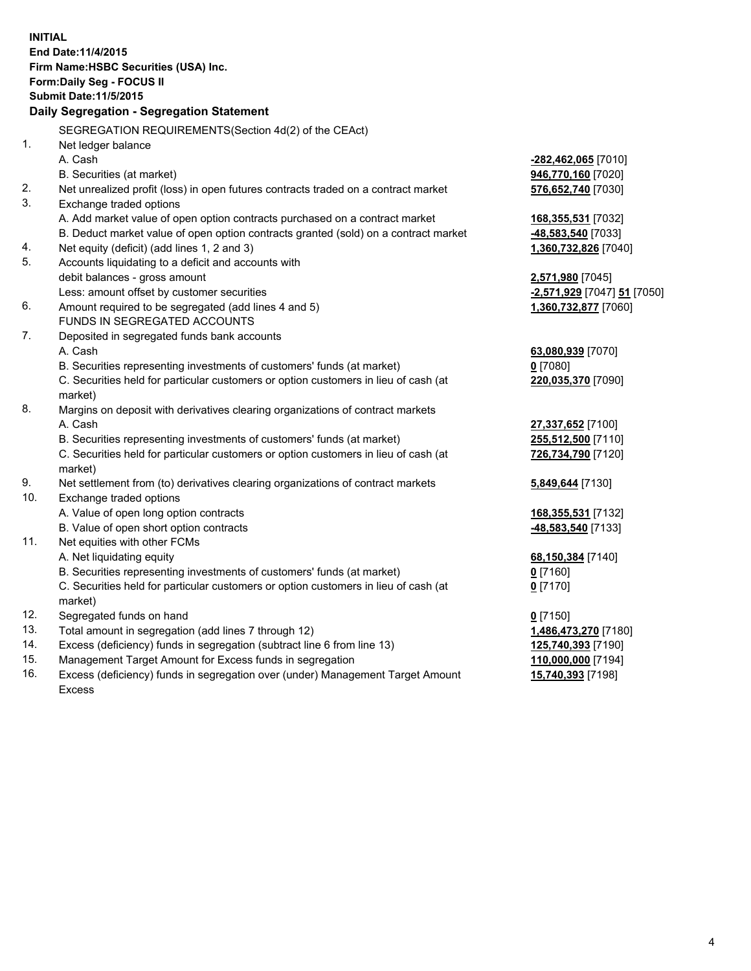| <b>INITIAL</b> | End Date: 11/4/2015<br>Firm Name: HSBC Securities (USA) Inc.                                                  |                             |  |  |  |
|----------------|---------------------------------------------------------------------------------------------------------------|-----------------------------|--|--|--|
|                | Form: Daily Seg - FOCUS II                                                                                    |                             |  |  |  |
|                | <b>Submit Date: 11/5/2015</b>                                                                                 |                             |  |  |  |
|                | Daily Segregation - Segregation Statement                                                                     |                             |  |  |  |
|                | SEGREGATION REQUIREMENTS(Section 4d(2) of the CEAct)                                                          |                             |  |  |  |
| 1.             | Net ledger balance                                                                                            |                             |  |  |  |
|                | A. Cash                                                                                                       | -282,462,065 [7010]         |  |  |  |
|                | B. Securities (at market)                                                                                     | 946,770,160 [7020]          |  |  |  |
| 2.<br>3.       | Net unrealized profit (loss) in open futures contracts traded on a contract market<br>Exchange traded options | 576,652,740 [7030]          |  |  |  |
|                | A. Add market value of open option contracts purchased on a contract market                                   | 168, 355, 531 [7032]        |  |  |  |
|                | B. Deduct market value of open option contracts granted (sold) on a contract market                           | -48,583,540 [7033]          |  |  |  |
| 4.             | Net equity (deficit) (add lines 1, 2 and 3)                                                                   | 1,360,732,826 [7040]        |  |  |  |
| 5.             | Accounts liquidating to a deficit and accounts with                                                           |                             |  |  |  |
|                | debit balances - gross amount                                                                                 | 2,571,980 [7045]            |  |  |  |
|                | Less: amount offset by customer securities                                                                    | -2,571,929 [7047] 51 [7050] |  |  |  |
| 6.             | Amount required to be segregated (add lines 4 and 5)                                                          | 1,360,732,877 [7060]        |  |  |  |
|                | FUNDS IN SEGREGATED ACCOUNTS                                                                                  |                             |  |  |  |
| 7.             | Deposited in segregated funds bank accounts                                                                   |                             |  |  |  |
|                | A. Cash                                                                                                       | 63,080,939 [7070]           |  |  |  |
|                | B. Securities representing investments of customers' funds (at market)                                        | $0$ [7080]                  |  |  |  |
|                | C. Securities held for particular customers or option customers in lieu of cash (at<br>market)                | 220,035,370 [7090]          |  |  |  |
| 8.             | Margins on deposit with derivatives clearing organizations of contract markets                                |                             |  |  |  |
|                | A. Cash                                                                                                       | 27,337,652 [7100]           |  |  |  |
|                | B. Securities representing investments of customers' funds (at market)                                        | 255,512,500 [7110]          |  |  |  |
|                | C. Securities held for particular customers or option customers in lieu of cash (at<br>market)                | 726,734,790 [7120]          |  |  |  |
| 9.             | Net settlement from (to) derivatives clearing organizations of contract markets                               | 5,849,644 [7130]            |  |  |  |
| 10.            | Exchange traded options                                                                                       |                             |  |  |  |
|                | A. Value of open long option contracts                                                                        | 168,355,531 [7132]          |  |  |  |
|                | B. Value of open short option contracts                                                                       | -48,583,540 [7133]          |  |  |  |
| 11.            | Net equities with other FCMs                                                                                  |                             |  |  |  |
|                | A. Net liquidating equity                                                                                     | 68,150,384 [7140]           |  |  |  |
|                | B. Securities representing investments of customers' funds (at market)                                        | 0 [7160]                    |  |  |  |
|                | C. Securities held for particular customers or option customers in lieu of cash (at<br>market)                | $0$ [7170]                  |  |  |  |
| 12.            | Segregated funds on hand                                                                                      | $0$ [7150]                  |  |  |  |
| 13.            | Total amount in segregation (add lines 7 through 12)                                                          | 1,486,473,270 [7180]        |  |  |  |
| 14.            | Excess (deficiency) funds in segregation (subtract line 6 from line 13)                                       | 125,740,393 [7190]          |  |  |  |
| 15.            | Management Target Amount for Excess funds in segregation                                                      | 110,000,000 [7194]          |  |  |  |
| 16.            | Excess (deficiency) funds in segregation over (under) Management Target Amount                                | 15,740,393 [7198]           |  |  |  |

16. Excess (deficiency) funds in segregation over (under) Management Target Amount Excess